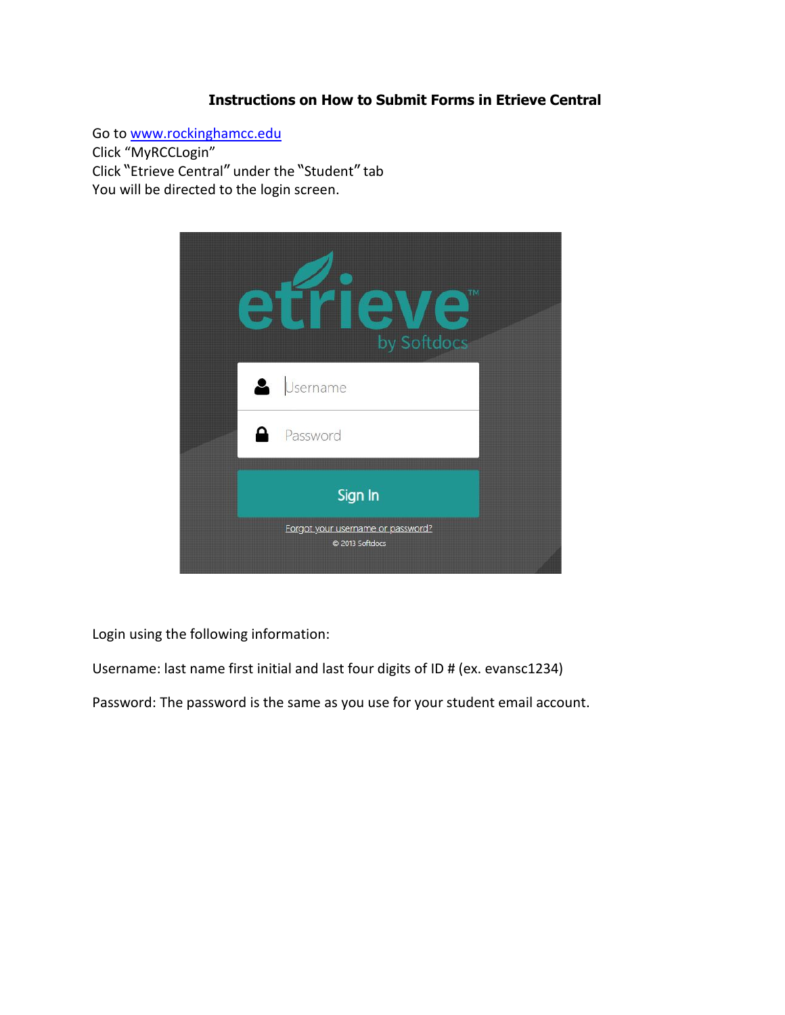## **Instructions on How to Submit Forms in Etrieve Central**

Go t[o www.rockinghamcc.edu](http://www.rockinghamcc.edu/) Click "MyRCCLogin" Click "Etrieve Central" under the "Student" tab

You will be directed to the login screen.



Login using the following information:

Username: last name first initial and last four digits of ID # (ex. evansc1234)

Password: The password is the same as you use for your student email account.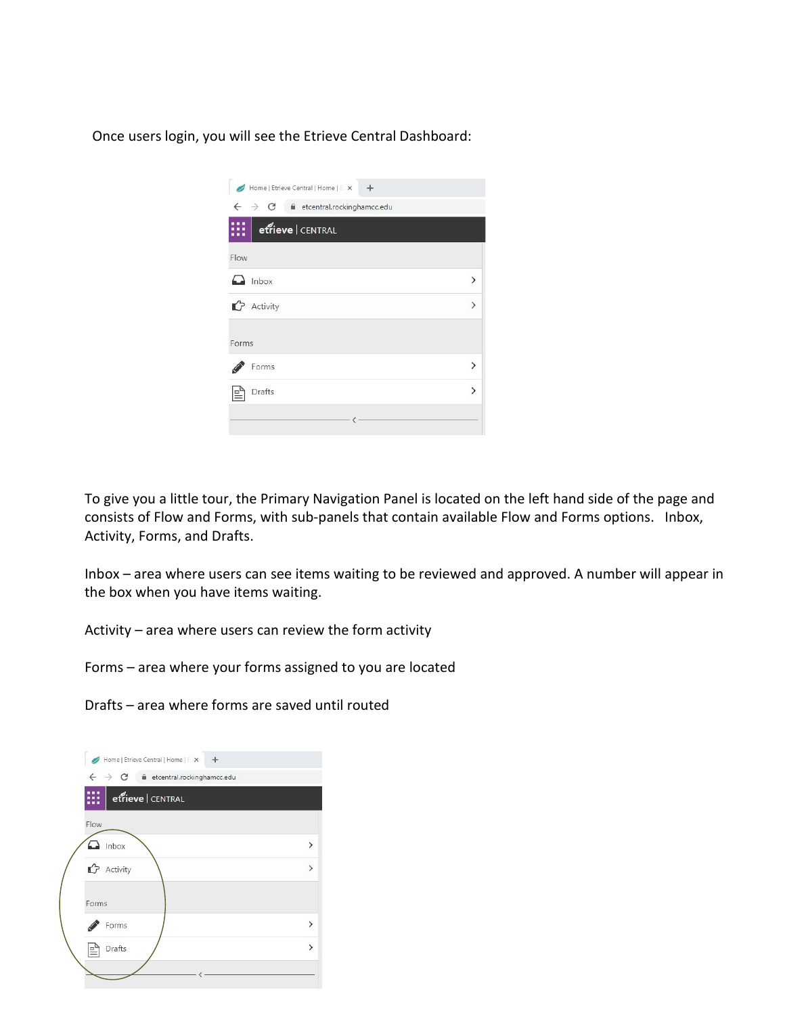Once users login, you will see the Etrieve Central Dashboard:

| Home   Etrieve Central   Home   E X +                            |               |  |  |  |
|------------------------------------------------------------------|---------------|--|--|--|
| C<br>$\leftarrow$<br>$\rightarrow$<br>etcentral.rockinghamcc.edu |               |  |  |  |
| etrieve CENTRAL                                                  |               |  |  |  |
| Flow                                                             |               |  |  |  |
| $\Box$ Inbox                                                     | $\mathcal{P}$ |  |  |  |
| <b>P</b> Activity                                                | $\mathcal{P}$ |  |  |  |
| Forms                                                            |               |  |  |  |
| Forms                                                            | ↘             |  |  |  |
| <b>Drafts</b>                                                    | ゝ             |  |  |  |
|                                                                  |               |  |  |  |

To give you a little tour, the Primary Navigation Panel is located on the left hand side of the page and consists of Flow and Forms, with sub-panels that contain available Flow and Forms options. Inbox, Activity, Forms, and Drafts.

Inbox – area where users can see items waiting to be reviewed and approved. A number will appear in the box when you have items waiting.

Activity – area where users can review the form activity

Forms – area where your forms assigned to you are located

Drafts – area where forms are saved until routed

| Home   Etrieve Central   Home   E X +                                    |               |
|--------------------------------------------------------------------------|---------------|
| $\rightarrow$ $\mathbf{C}$ ii etcentral.rockinghamcc.edu<br>$\leftarrow$ |               |
| etrieve   CENTRAL                                                        |               |
| Flow                                                                     |               |
| $\Box$ Inbox                                                             | $\mathcal{P}$ |
| <b>C</b> Activity                                                        | $\mathcal{P}$ |
| Forms                                                                    |               |
| Forms                                                                    | $\mathcal{E}$ |
| <b>Drafts</b>                                                            | $\mathcal{P}$ |
|                                                                          |               |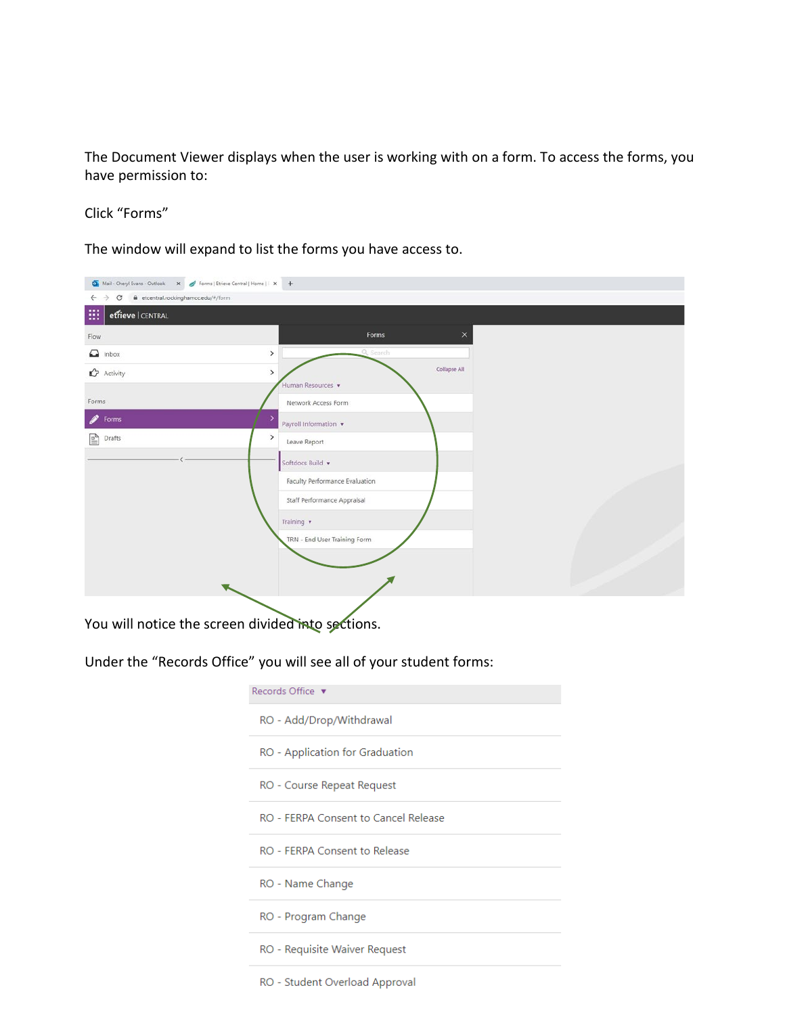The Document Viewer displays when the user is working with on a form. To access the forms, you have permission to:

## Click "Forms"

The window will expand to list the forms you have access to.

| <b>Or</b> Mail - Cheryl Evans - Outlook x / Forms   Etrieve Central   Home     x   + |                                        |  |
|--------------------------------------------------------------------------------------|----------------------------------------|--|
| C @ etcentral.rockinghamcc.edu/#/form<br>$\leftarrow$ $\rightarrow$                  |                                        |  |
| 曲<br>effieve CENTRAL                                                                 |                                        |  |
| Flow                                                                                 | $\times$<br>Forms                      |  |
| $\Omega$ Inbox                                                                       | Q Search<br>$\rightarrow$              |  |
| $\mathbf{D}$ Activity                                                                | Collapse All<br>$\rightarrow$          |  |
| Forms                                                                                | Human Resources<br>Network Access Form |  |
| 8<br>Forms                                                                           | Payroll Information v                  |  |
| ė<br>Drafts                                                                          | $\rightarrow$<br>Leave Report          |  |
|                                                                                      | Softdocs Build v                       |  |
|                                                                                      | Faculty Performance Evaluation         |  |
|                                                                                      | Staff Performance Appraisal            |  |
|                                                                                      | Training v                             |  |
|                                                                                      | TRN - End User Training Form           |  |
|                                                                                      |                                        |  |
|                                                                                      |                                        |  |
|                                                                                      |                                        |  |

You will notice the screen divided into sections.

## Under the "Records Office" you will see all of your student forms:

| Records Office v                     |  |  |  |  |
|--------------------------------------|--|--|--|--|
| RO - Add/Drop/Withdrawal             |  |  |  |  |
| RO - Application for Graduation      |  |  |  |  |
| RO - Course Repeat Request           |  |  |  |  |
| RO - FERPA Consent to Cancel Release |  |  |  |  |
| RO - FERPA Consent to Release        |  |  |  |  |
| RO - Name Change                     |  |  |  |  |
| RO - Program Change                  |  |  |  |  |
| RO - Requisite Waiver Request        |  |  |  |  |
| RO - Student Overload Approval       |  |  |  |  |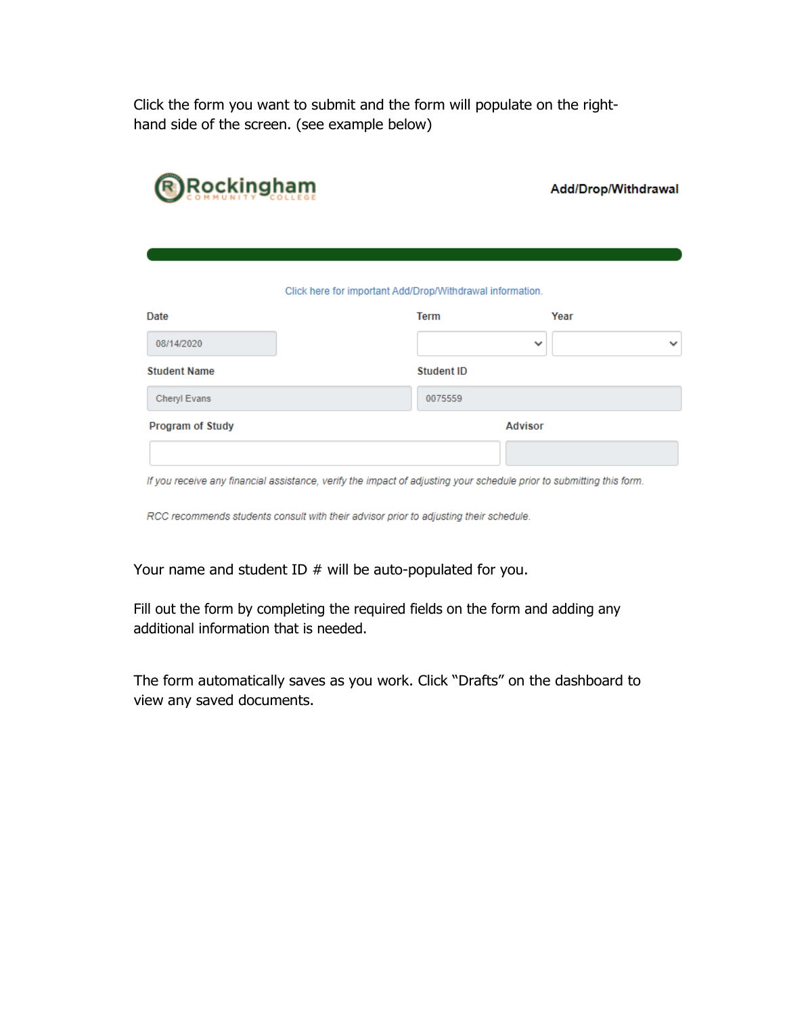Click the form you want to submit and the form will populate on the righthand side of the screen. (see example below)

| <b>Rockingham</b>       | Add/Drop/Withdrawal                                                                                                  |                              |
|-------------------------|----------------------------------------------------------------------------------------------------------------------|------------------------------|
| Date                    | Click here for important Add/Drop/Withdrawal information.<br><b>Term</b>                                             | Year                         |
| 08/14/2020              |                                                                                                                      | $\checkmark$<br>$\checkmark$ |
| <b>Student Name</b>     | <b>Student ID</b>                                                                                                    |                              |
| <b>Cheryl Evans</b>     | 0075559                                                                                                              |                              |
| <b>Program of Study</b> |                                                                                                                      | <b>Advisor</b>               |
|                         | If you receive any financial assistance, verify the impact of adjusting your schedule prior to submitting this form. |                              |

RCC recommends students consult with their advisor prior to adjusting their schedule.

Your name and student ID # will be auto-populated for you.

Fill out the form by completing the required fields on the form and adding any additional information that is needed.

The form automatically saves as you work. Click "Drafts" on the dashboard to view any saved documents.